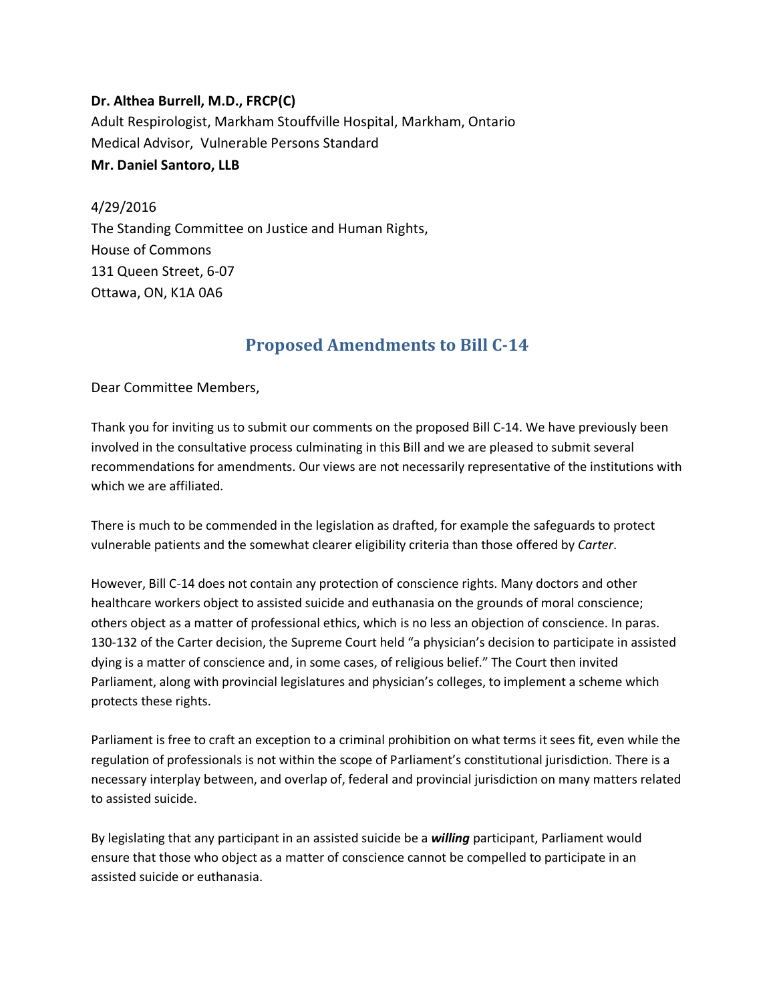**Dr. Althea Burrell, M.D., FRCP(C)** Adult Respirologist, Markham Stouffville Hospital, Markham, Ontario Medical Advisor, Vulnerable Persons Standard **Mr. Daniel Santoro, LLB**

4/29/2016 The Standing Committee on Justice and Human Rights, House of Commons 131 Queen Street, 6-07 Ottawa, ON, K1A 0A6

## **Proposed Amendments to Bill C-14**

Dear Committee Members,

Thank you for inviting us to submit our comments on the proposed Bill C-14. We have previously been involved in the consultative process culminating in this Bill and we are pleased to submit several recommendations for amendments. Our views are not necessarily representative of the institutions with which we are affiliated.

There is much to be commended in the legislation as drafted, for example the safeguards to protect vulnerable patients and the somewhat clearer eligibility criteria than those offered by *Carter*.

However, Bill C-14 does not contain any protection of conscience rights. Many doctors and other healthcare workers object to assisted suicide and euthanasia on the grounds of moral conscience; others object as a matter of professional ethics, which is no less an objection of conscience. In paras. 130-132 of the Carter decision, the Supreme Court held "a physician's decision to participate in assisted dying is a matter of conscience and, in some cases, of religious belief." The Court then invited Parliament, along with provincial legislatures and physician's colleges, to implement a scheme which protects these rights.

Parliament is free to craft an exception to a criminal prohibition on what terms it sees fit, even while the regulation of professionals is not within the scope of Parliament's constitutional jurisdiction. There is a necessary interplay between, and overlap of, federal and provincial jurisdiction on many matters related to assisted suicide.

By legislating that any participant in an assisted suicide be a *willing* participant, Parliament would ensure that those who object as a matter of conscience cannot be compelled to participate in an assisted suicide or euthanasia.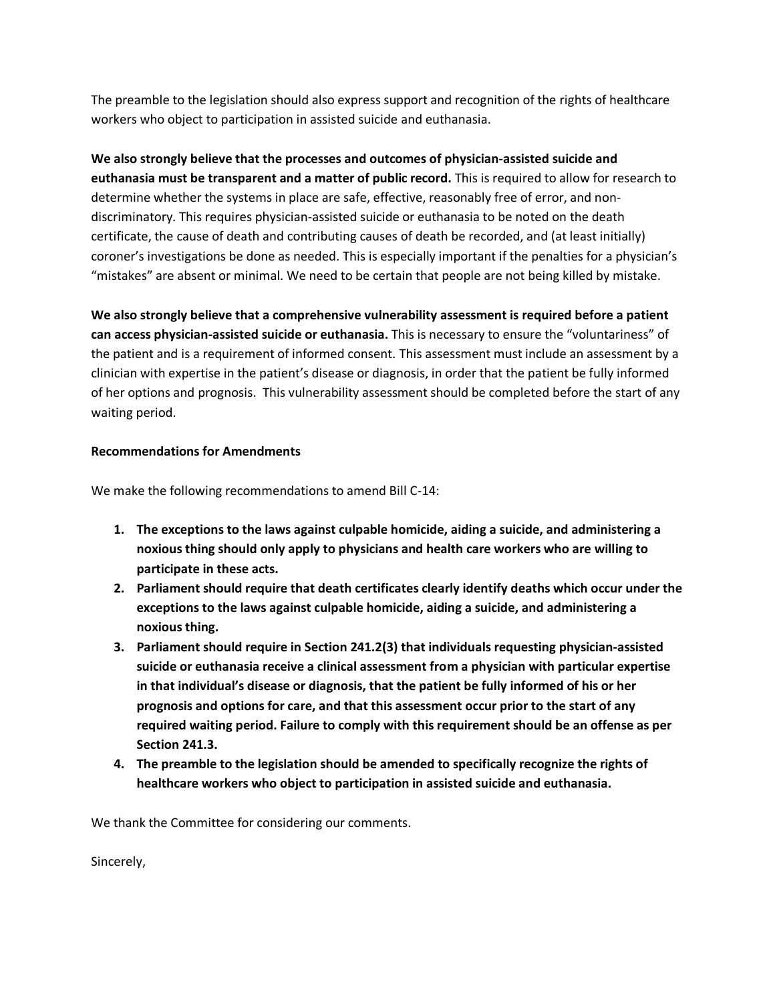The preamble to the legislation should also express support and recognition of the rights of healthcare workers who object to participation in assisted suicide and euthanasia.

**We also strongly believe that the processes and outcomes of physician-assisted suicide and euthanasia must be transparent and a matter of public record.** This is required to allow for research to determine whether the systems in place are safe, effective, reasonably free of error, and nondiscriminatory. This requires physician-assisted suicide or euthanasia to be noted on the death certificate, the cause of death and contributing causes of death be recorded, and (at least initially) coroner's investigations be done as needed. This is especially important if the penalties for a physician's "mistakes" are absent or minimal. We need to be certain that people are not being killed by mistake.

**We also strongly believe that a comprehensive vulnerability assessment is required before a patient can access physician-assisted suicide or euthanasia.** This is necessary to ensure the "voluntariness" of the patient and is a requirement of informed consent. This assessment must include an assessment by a clinician with expertise in the patient's disease or diagnosis, in order that the patient be fully informed of her options and prognosis. This vulnerability assessment should be completed before the start of any waiting period.

## **Recommendations for Amendments**

We make the following recommendations to amend Bill C-14:

- **1. The exceptions to the laws against culpable homicide, aiding a suicide, and administering a noxious thing should only apply to physicians and health care workers who are willing to participate in these acts.**
- **2. Parliament should require that death certificates clearly identify deaths which occur under the exceptions to the laws against culpable homicide, aiding a suicide, and administering a noxious thing.**
- **3. Parliament should require in Section 241.2(3) that individuals requesting physician-assisted suicide or euthanasia receive a clinical assessment from a physician with particular expertise in that individual's disease or diagnosis, that the patient be fully informed of his or her prognosis and options for care, and that this assessment occur prior to the start of any required waiting period. Failure to comply with this requirement should be an offense as per Section 241.3.**
- **4. The preamble to the legislation should be amended to specifically recognize the rights of healthcare workers who object to participation in assisted suicide and euthanasia.**

We thank the Committee for considering our comments.

Sincerely,